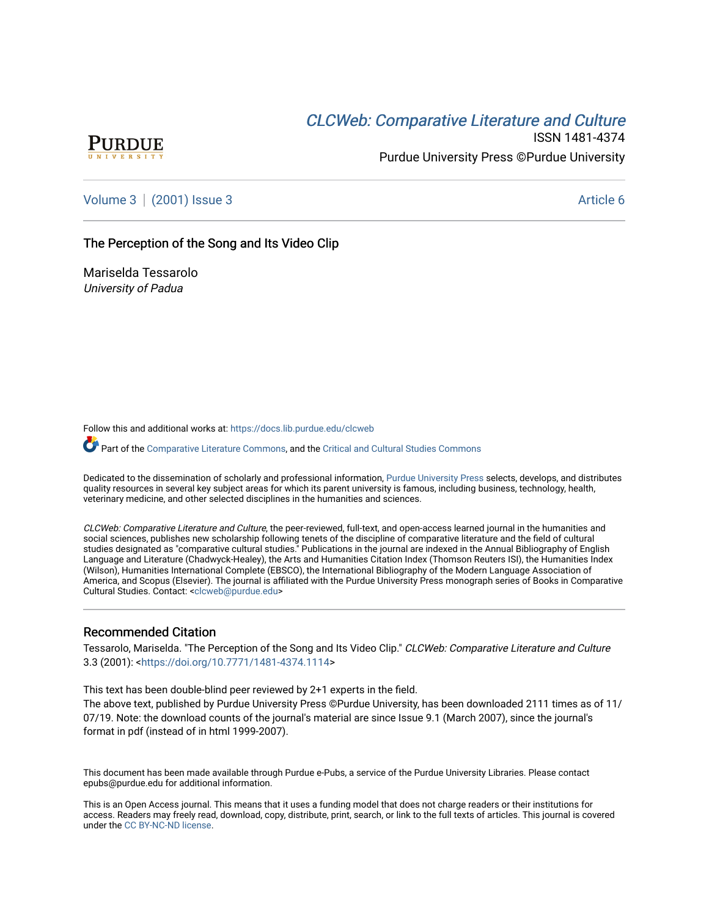# CLCW[eb: Comparative Liter](https://docs.lib.purdue.edu/clcweb)ature and Culture



ISSN 1481-4374 Purdue University Press ©Purdue University

[Volume 3](https://docs.lib.purdue.edu/clcweb/vol3) | [\(2001\) Issue 3](https://docs.lib.purdue.edu/clcweb/vol3/iss3) Article 6

# The Perception of the Song and Its Video Clip

Mariselda Tessarolo University of Padua

Follow this and additional works at: [https://docs.lib.purdue.edu/clcweb](https://docs.lib.purdue.edu/clcweb?utm_source=docs.lib.purdue.edu%2Fclcweb%2Fvol3%2Fiss3%2F6&utm_medium=PDF&utm_campaign=PDFCoverPages)

Part of the [Comparative Literature Commons,](http://network.bepress.com/hgg/discipline/454?utm_source=docs.lib.purdue.edu%2Fclcweb%2Fvol3%2Fiss3%2F6&utm_medium=PDF&utm_campaign=PDFCoverPages) and the [Critical and Cultural Studies Commons](http://network.bepress.com/hgg/discipline/328?utm_source=docs.lib.purdue.edu%2Fclcweb%2Fvol3%2Fiss3%2F6&utm_medium=PDF&utm_campaign=PDFCoverPages) 

Dedicated to the dissemination of scholarly and professional information, [Purdue University Press](http://www.thepress.purdue.edu/) selects, develops, and distributes quality resources in several key subject areas for which its parent university is famous, including business, technology, health, veterinary medicine, and other selected disciplines in the humanities and sciences.

CLCWeb: Comparative Literature and Culture, the peer-reviewed, full-text, and open-access learned journal in the humanities and social sciences, publishes new scholarship following tenets of the discipline of comparative literature and the field of cultural studies designated as "comparative cultural studies." Publications in the journal are indexed in the Annual Bibliography of English Language and Literature (Chadwyck-Healey), the Arts and Humanities Citation Index (Thomson Reuters ISI), the Humanities Index (Wilson), Humanities International Complete (EBSCO), the International Bibliography of the Modern Language Association of America, and Scopus (Elsevier). The journal is affiliated with the Purdue University Press monograph series of Books in Comparative Cultural Studies. Contact: [<clcweb@purdue.edu](mailto:clcweb@purdue.edu)>

#### Recommended Citation

Tessarolo, Mariselda. "The Perception of the Song and Its Video Clip." CLCWeb: Comparative Literature and Culture 3.3 (2001): [<https://doi.org/10.7771/1481-4374.1114>](https://doi.org/10.7771/1481-4374.1114)

This text has been double-blind peer reviewed by 2+1 experts in the field.

The above text, published by Purdue University Press ©Purdue University, has been downloaded 2111 times as of 11/ 07/19. Note: the download counts of the journal's material are since Issue 9.1 (March 2007), since the journal's format in pdf (instead of in html 1999-2007).

This document has been made available through Purdue e-Pubs, a service of the Purdue University Libraries. Please contact epubs@purdue.edu for additional information.

This is an Open Access journal. This means that it uses a funding model that does not charge readers or their institutions for access. Readers may freely read, download, copy, distribute, print, search, or link to the full texts of articles. This journal is covered under the [CC BY-NC-ND license.](https://creativecommons.org/licenses/by-nc-nd/4.0/)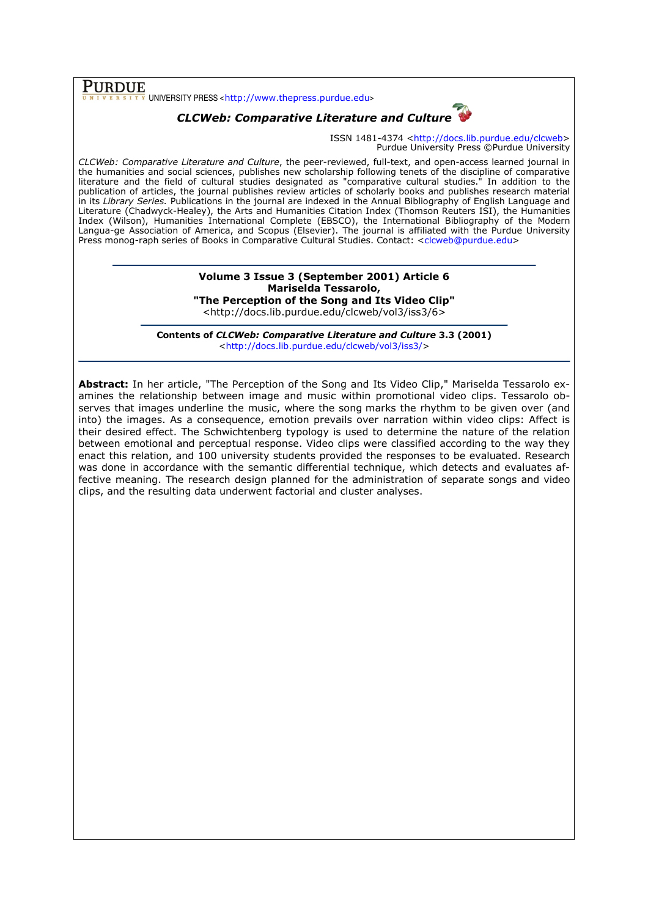$\overline{\text{PURDUE}}$  UNIVERSITY PRESS <http://www.thepress.purdue.edu>

# CLCWeb: Comparative Literature and Culture

ISSN 1481-4374 <http://docs.lib.purdue.edu/clcweb> Purdue University Press ©Purdue University

CLCWeb: Comparative Literature and Culture, the peer-reviewed, full-text, and open-access learned journal in the humanities and social sciences, publishes new scholarship following tenets of the discipline of comparative literature and the field of cultural studies designated as "comparative cultural studies." In addition to the publication of articles, the journal publishes review articles of scholarly books and publishes research material in its Library Series. Publications in the journal are indexed in the Annual Bibliography of English Language and Literature (Chadwyck-Healey), the Arts and Humanities Citation Index (Thomson Reuters ISI), the Humanities Index (Wilson), Humanities International Complete (EBSCO), the International Bibliography of the Modern Langua-ge Association of America, and Scopus (Elsevier). The journal is affiliated with the Purdue University Press monog-raph series of Books in Comparative Cultural Studies. Contact: <clcweb@purdue.edu>

# Volume 3 Issue 3 (September 2001) Article 6 Mariselda Tessarolo, "The Perception of the Song and Its Video Clip"

<http://docs.lib.purdue.edu/clcweb/vol3/iss3/6>

Contents of CLCWeb: Comparative Literature and Culture 3.3 (2001) <http://docs.lib.purdue.edu/clcweb/vol3/iss3/>

Abstract: In her article, "The Perception of the Song and Its Video Clip," Mariselda Tessarolo examines the relationship between image and music within promotional video clips. Tessarolo observes that images underline the music, where the song marks the rhythm to be given over (and into) the images. As a consequence, emotion prevails over narration within video clips: Affect is their desired effect. The Schwichtenberg typology is used to determine the nature of the relation between emotional and perceptual response. Video clips were classified according to the way they enact this relation, and 100 university students provided the responses to be evaluated. Research was done in accordance with the semantic differential technique, which detects and evaluates affective meaning. The research design planned for the administration of separate songs and video clips, and the resulting data underwent factorial and cluster analyses.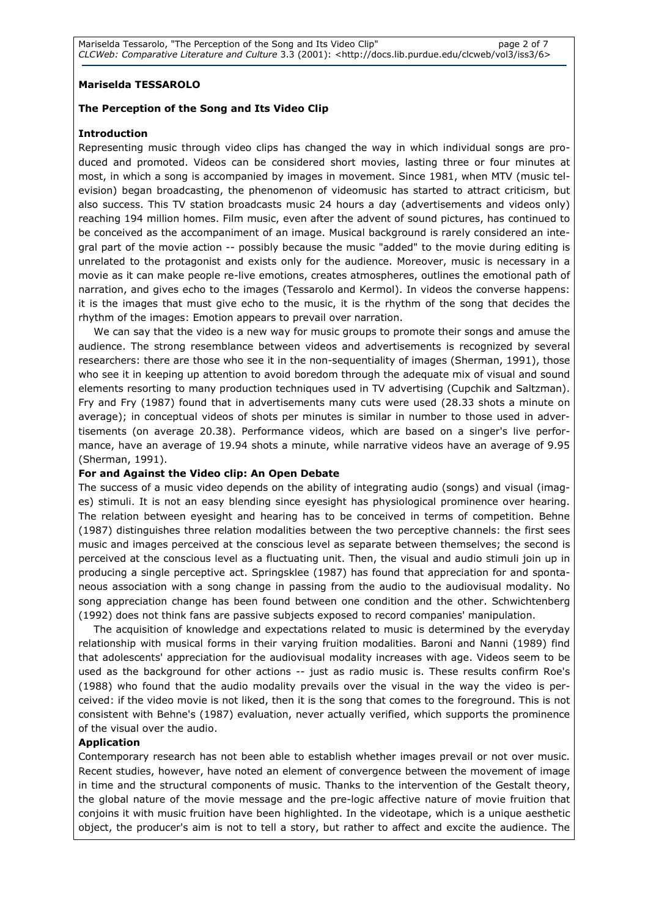# Mariselda TESSAROLO

### The Perception of the Song and Its Video Clip

#### Introduction

Representing music through video clips has changed the way in which individual songs are produced and promoted. Videos can be considered short movies, lasting three or four minutes at most, in which a song is accompanied by images in movement. Since 1981, when MTV (music television) began broadcasting, the phenomenon of videomusic has started to attract criticism, but also success. This TV station broadcasts music 24 hours a day (advertisements and videos only) reaching 194 million homes. Film music, even after the advent of sound pictures, has continued to be conceived as the accompaniment of an image. Musical background is rarely considered an integral part of the movie action -- possibly because the music "added" to the movie during editing is unrelated to the protagonist and exists only for the audience. Moreover, music is necessary in a movie as it can make people re-live emotions, creates atmospheres, outlines the emotional path of narration, and gives echo to the images (Tessarolo and Kermol). In videos the converse happens: it is the images that must give echo to the music, it is the rhythm of the song that decides the rhythm of the images: Emotion appears to prevail over narration.

We can say that the video is a new way for music groups to promote their songs and amuse the audience. The strong resemblance between videos and advertisements is recognized by several researchers: there are those who see it in the non-sequentiality of images (Sherman, 1991), those who see it in keeping up attention to avoid boredom through the adequate mix of visual and sound elements resorting to many production techniques used in TV advertising (Cupchik and Saltzman). Fry and Fry (1987) found that in advertisements many cuts were used (28.33 shots a minute on average); in conceptual videos of shots per minutes is similar in number to those used in advertisements (on average 20.38). Performance videos, which are based on a singer's live performance, have an average of 19.94 shots a minute, while narrative videos have an average of 9.95 (Sherman, 1991).

#### For and Against the Video clip: An Open Debate

The success of a music video depends on the ability of integrating audio (songs) and visual (images) stimuli. It is not an easy blending since eyesight has physiological prominence over hearing. The relation between eyesight and hearing has to be conceived in terms of competition. Behne (1987) distinguishes three relation modalities between the two perceptive channels: the first sees music and images perceived at the conscious level as separate between themselves; the second is perceived at the conscious level as a fluctuating unit. Then, the visual and audio stimuli join up in producing a single perceptive act. Springsklee (1987) has found that appreciation for and spontaneous association with a song change in passing from the audio to the audiovisual modality. No song appreciation change has been found between one condition and the other. Schwichtenberg (1992) does not think fans are passive subjects exposed to record companies' manipulation.

The acquisition of knowledge and expectations related to music is determined by the everyday relationship with musical forms in their varying fruition modalities. Baroni and Nanni (1989) find that adolescents' appreciation for the audiovisual modality increases with age. Videos seem to be used as the background for other actions -- just as radio music is. These results confirm Roe's (1988) who found that the audio modality prevails over the visual in the way the video is perceived: if the video movie is not liked, then it is the song that comes to the foreground. This is not consistent with Behne's (1987) evaluation, never actually verified, which supports the prominence of the visual over the audio.

# Application

Contemporary research has not been able to establish whether images prevail or not over music. Recent studies, however, have noted an element of convergence between the movement of image in time and the structural components of music. Thanks to the intervention of the Gestalt theory, the global nature of the movie message and the pre-logic affective nature of movie fruition that conjoins it with music fruition have been highlighted. In the videotape, which is a unique aesthetic object, the producer's aim is not to tell a story, but rather to affect and excite the audience. The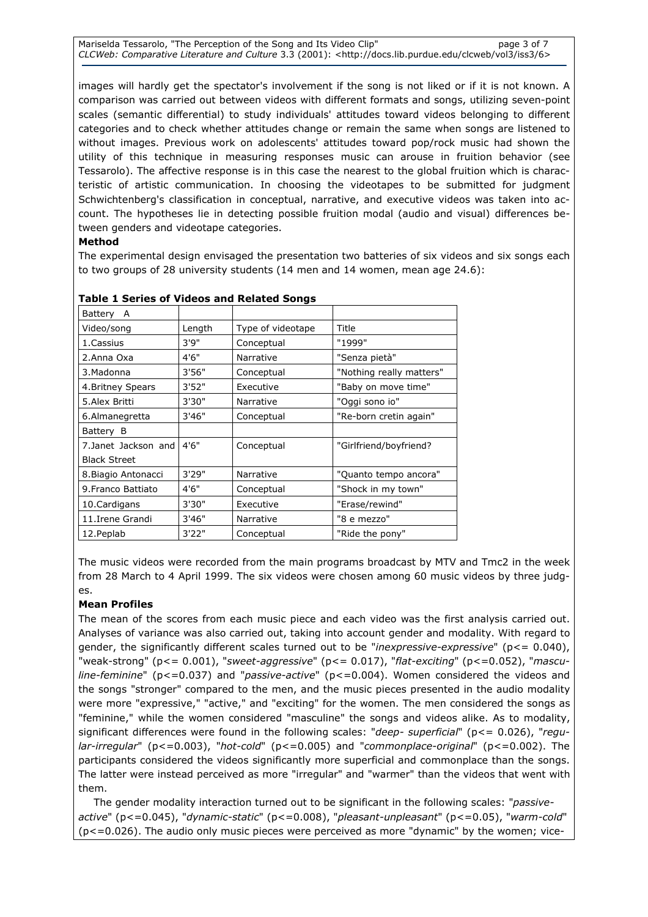Mariselda Tessarolo, "The Perception of the Song and Its Video Clip" page 3 of 7 CLCWeb: Comparative Literature and Culture 3.3 (2001): <http://docs.lib.purdue.edu/clcweb/vol3/iss3/6>

images will hardly get the spectator's involvement if the song is not liked or if it is not known. A comparison was carried out between videos with different formats and songs, utilizing seven-point scales (semantic differential) to study individuals' attitudes toward videos belonging to different categories and to check whether attitudes change or remain the same when songs are listened to without images. Previous work on adolescents' attitudes toward pop/rock music had shown the utility of this technique in measuring responses music can arouse in fruition behavior (see Tessarolo). The affective response is in this case the nearest to the global fruition which is characteristic of artistic communication. In choosing the videotapes to be submitted for judgment Schwichtenberg's classification in conceptual, narrative, and executive videos was taken into account. The hypotheses lie in detecting possible fruition modal (audio and visual) differences between genders and videotape categories.

# Method

The experimental design envisaged the presentation two batteries of six videos and six songs each to two groups of 28 university students (14 men and 14 women, mean age 24.6):

| Battery A           |        |                   |                          |
|---------------------|--------|-------------------|--------------------------|
| Video/song          | Length | Type of videotape | Title                    |
| 1. Cassius          | 3'9''  | Conceptual        | "1999"                   |
| 2.Anna Oxa          | 4'6"   | Narrative         | "Senza pietà"            |
| 3. Madonna          | 3'56"  | Conceptual        | "Nothing really matters" |
| 4. Britney Spears   | 3'52"  | Executive         | "Baby on move time"      |
| 5.Alex Britti       | 3'30"  | Narrative         | "Oggi sono io"           |
| 6.Almanegretta      | 3'46"  | Conceptual        | "Re-born cretin again"   |
| Battery B           |        |                   |                          |
| 7.Janet Jackson and | 4'6''  | Conceptual        | "Girlfriend/boyfriend?   |
| <b>Black Street</b> |        |                   |                          |
| 8. Biagio Antonacci | 3'29"  | Narrative         | "Quanto tempo ancora"    |
| 9. Franco Battiato  | 4'6"   | Conceptual        | "Shock in my town"       |
| 10. Cardigans       | 3'30"  | Executive         | "Erase/rewind"           |
| 11. Irene Grandi    | 3'46"  | Narrative         | "8 e mezzo"              |
| 12. Peplab          | 3'22"  | Conceptual        | "Ride the pony"          |
|                     |        |                   |                          |

# Table 1 Series of Videos and Related Songs

The music videos were recorded from the main programs broadcast by MTV and Tmc2 in the week from 28 March to 4 April 1999. The six videos were chosen among 60 music videos by three judges.

# Mean Profiles

The mean of the scores from each music piece and each video was the first analysis carried out. Analyses of variance was also carried out, taking into account gender and modality. With regard to gender, the significantly different scales turned out to be "inexpressive-expressive" (p <= 0.040), "weak-strong" ( $p \le 0.001$ ), "sweet-aggressive" ( $p \le 0.017$ ), "flat-exciting" ( $p \le 0.052$ ), "mascu*line-feminine*" ( $p \le 0.037$ ) and "*passive-active*" ( $p \le 0.004$ ). Women considered the videos and the songs "stronger" compared to the men, and the music pieces presented in the audio modality were more "expressive," "active," and "exciting" for the women. The men considered the songs as "feminine," while the women considered "masculine" the songs and videos alike. As to modality, significant differences were found in the following scales: " $deep- superficial"$  ( $p<= 0.026$ ), "regu $lar-irregular''$  ( $p<0.003$ ), "hot-cold" ( $p<0.005$ ) and "commonplace-original" ( $p<0.002$ ). The participants considered the videos significantly more superficial and commonplace than the songs. The latter were instead perceived as more "irregular" and "warmer" than the videos that went with them.

The gender modality interaction turned out to be significant in the following scales: "passiveactive" (p<=0.045), "dynamic-static" (p<=0.008), "pleasant-unpleasant" (p<=0.05), "warm-cold"  $(p < = 0.026)$ . The audio only music pieces were perceived as more "dynamic" by the women; vice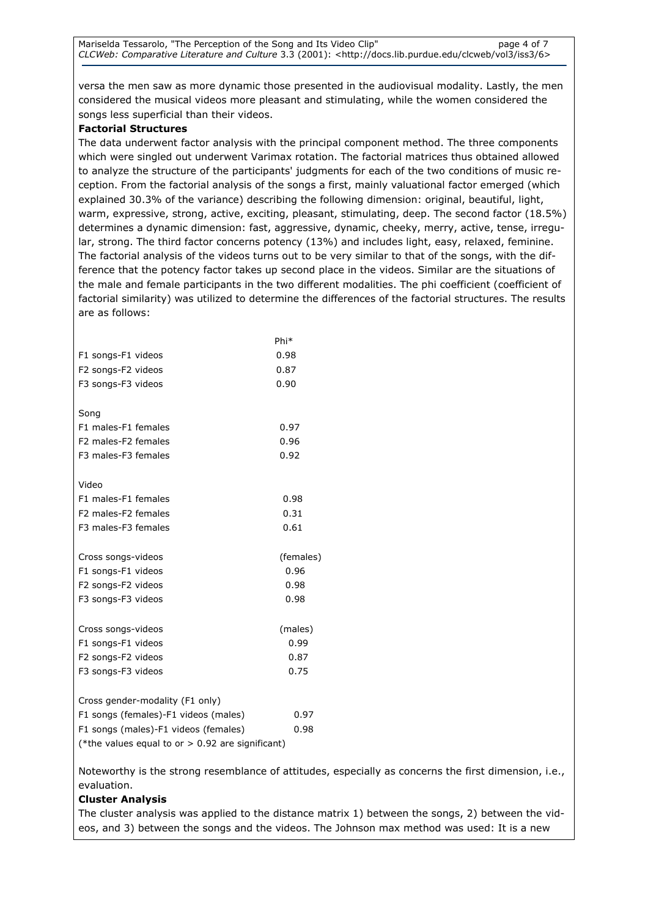versa the men saw as more dynamic those presented in the audiovisual modality. Lastly, the men considered the musical videos more pleasant and stimulating, while the women considered the songs less superficial than their videos.

# Factorial Structures

The data underwent factor analysis with the principal component method. The three components which were singled out underwent Varimax rotation. The factorial matrices thus obtained allowed to analyze the structure of the participants' judgments for each of the two conditions of music reception. From the factorial analysis of the songs a first, mainly valuational factor emerged (which explained 30.3% of the variance) describing the following dimension: original, beautiful, light, warm, expressive, strong, active, exciting, pleasant, stimulating, deep. The second factor (18.5%) determines a dynamic dimension: fast, aggressive, dynamic, cheeky, merry, active, tense, irregular, strong. The third factor concerns potency (13%) and includes light, easy, relaxed, feminine. The factorial analysis of the videos turns out to be very similar to that of the songs, with the difference that the potency factor takes up second place in the videos. Similar are the situations of the male and female participants in the two different modalities. The phi coefficient (coefficient of factorial similarity) was utilized to determine the differences of the factorial structures. The results are as follows:

|                                                  | Phi*      |
|--------------------------------------------------|-----------|
| F1 songs-F1 videos                               | 0.98      |
| F2 songs-F2 videos                               | 0.87      |
| F3 songs-F3 videos                               | 0.90      |
|                                                  |           |
| Song                                             |           |
| F1 males-F1 females                              | 0.97      |
| F <sub>2</sub> males-F <sub>2</sub> females      | 0.96      |
| F3 males-F3 females                              | 0.92      |
|                                                  |           |
| Video                                            |           |
| F1 males-F1 females                              | 0.98      |
| F <sub>2</sub> males-F <sub>2</sub> females      | 0.31      |
| F3 males-F3 females                              | 0.61      |
| Cross songs-videos                               | (females) |
| F1 songs-F1 videos                               | 0.96      |
| F2 songs-F2 videos                               | 0.98      |
| F3 songs-F3 videos                               | 0.98      |
|                                                  |           |
| Cross songs-videos                               | (males)   |
| F1 songs-F1 videos                               | 0.99      |
| F2 songs-F2 videos                               | 0.87      |
| F3 songs-F3 videos                               | 0.75      |
| Cross gender-modality (F1 only)                  |           |
| F1 songs (females)-F1 videos (males)             | 0.97      |
| F1 songs (males)-F1 videos (females)             | 0.98      |
|                                                  |           |
| (*the values equal to or > 0.92 are significant) |           |

Noteworthy is the strong resemblance of attitudes, especially as concerns the first dimension, i.e., evaluation.

# Cluster Analysis

The cluster analysis was applied to the distance matrix 1) between the songs, 2) between the videos, and 3) between the songs and the videos. The Johnson max method was used: It is a new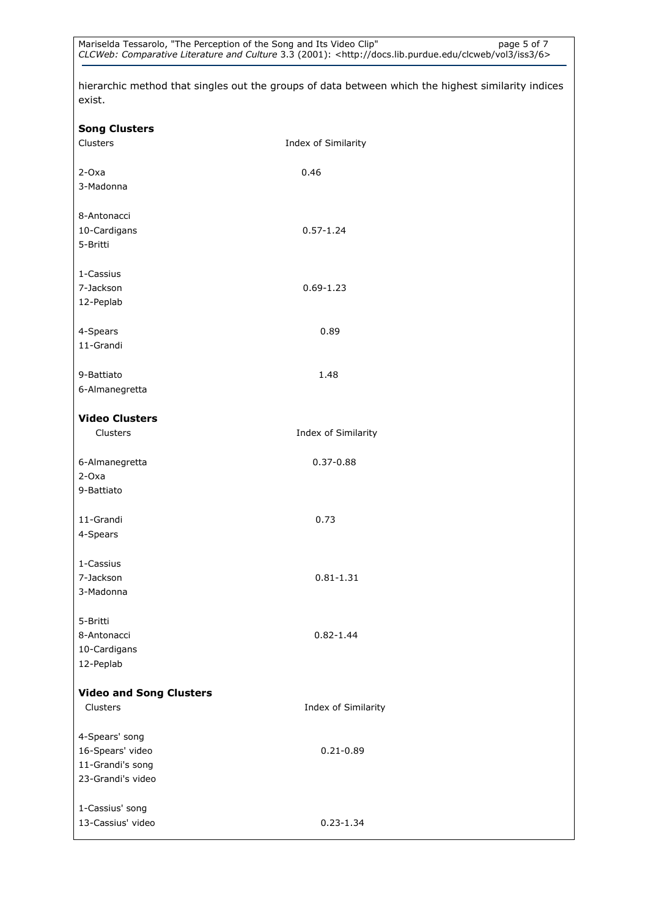hierarchic method that singles out the groups of data between which the highest similarity indices exist.

| <b>Song Clusters</b>               |                     |
|------------------------------------|---------------------|
| Clusters                           | Index of Similarity |
|                                    |                     |
| $2-Oxa$                            | 0.46                |
| 3-Madonna                          |                     |
|                                    |                     |
| 8-Antonacci                        |                     |
| 10-Cardigans                       | $0.57 - 1.24$       |
| 5-Britti                           |                     |
|                                    |                     |
| 1-Cassius                          |                     |
| 7-Jackson                          | $0.69 - 1.23$       |
| 12-Peplab                          |                     |
|                                    |                     |
| 4-Spears                           | 0.89                |
| 11-Grandi                          |                     |
|                                    |                     |
| 9-Battiato                         | 1.48                |
| 6-Almanegretta                     |                     |
|                                    |                     |
| <b>Video Clusters</b>              |                     |
| Clusters                           | Index of Similarity |
|                                    |                     |
| 6-Almanegretta                     | $0.37 - 0.88$       |
| $2-Oxa$                            |                     |
| 9-Battiato                         |                     |
| 11-Grandi                          | 0.73                |
| 4-Spears                           |                     |
|                                    |                     |
| 1-Cassius                          |                     |
| 7-Jackson                          | $0.81 - 1.31$       |
| 3-Madonna                          |                     |
|                                    |                     |
| 5-Britti                           |                     |
| 8-Antonacci                        | $0.82 - 1.44$       |
| 10-Cardigans                       |                     |
| 12-Peplab                          |                     |
|                                    |                     |
| <b>Video and Song Clusters</b>     |                     |
| Clusters                           | Index of Similarity |
|                                    |                     |
| 4-Spears' song<br>16-Spears' video |                     |
| 11-Grandi's song                   | $0.21 - 0.89$       |
| 23-Grandi's video                  |                     |
|                                    |                     |
| 1-Cassius' song                    |                     |
| 13-Cassius' video                  | $0.23 - 1.34$       |
|                                    |                     |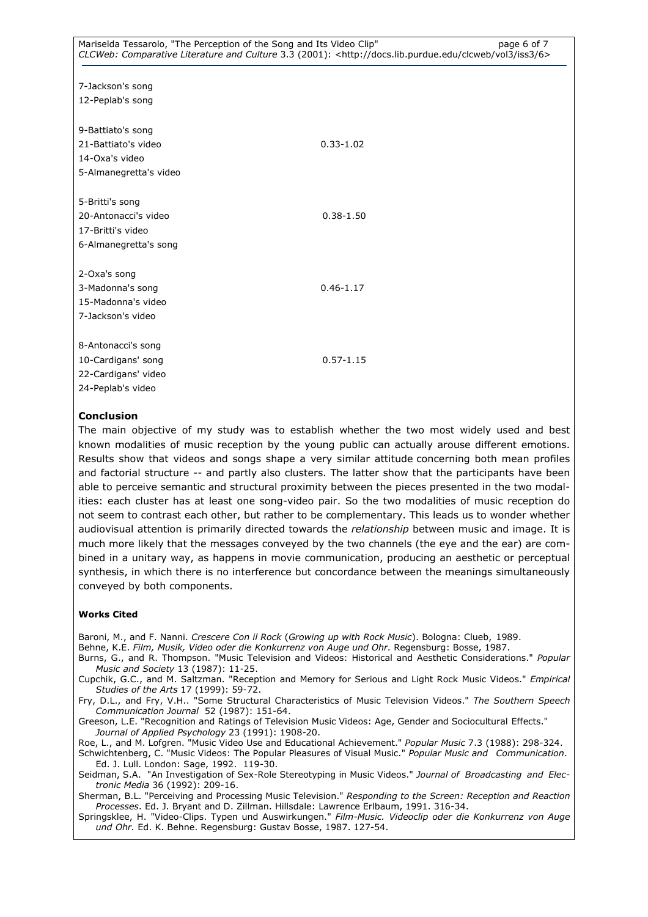| 9-Battiato's song<br>21-Battiato's video<br>14-Oxa's video<br>5-Almanegretta's video  | $0.33 - 1.02$ |
|---------------------------------------------------------------------------------------|---------------|
| 5-Britti's song<br>20-Antonacci's video<br>17-Britti's video<br>6-Almanegretta's song | $0.38 - 1.50$ |
| 2-Oxa's song<br>3-Madonna's song<br>15-Madonna's video<br>7-Jackson's video           | $0.46 - 1.17$ |
| 8-Antonacci's song<br>10-Cardigans' song<br>22-Cardigans' video<br>24-Peplab's video  | $0.57 - 1.15$ |

# Conclusion

The main objective of my study was to establish whether the two most widely used and best known modalities of music reception by the young public can actually arouse different emotions. Results show that videos and songs shape a very similar attitude concerning both mean profiles and factorial structure -- and partly also clusters. The latter show that the participants have been able to perceive semantic and structural proximity between the pieces presented in the two modalities: each cluster has at least one song-video pair. So the two modalities of music reception do not seem to contrast each other, but rather to be complementary. This leads us to wonder whether audiovisual attention is primarily directed towards the relationship between music and image. It is much more likely that the messages conveyed by the two channels (the eye and the ear) are combined in a unitary way, as happens in movie communication, producing an aesthetic or perceptual synthesis, in which there is no interference but concordance between the meanings simultaneously conveyed by both components.

#### Works Cited

Baroni, M., and F. Nanni. Crescere Con il Rock (Growing up with Rock Music). Bologna: Clueb, 1989.

Behne, K.E. Film, Musik, Video oder die Konkurrenz von Auge und Ohr. Regensburg: Bosse, 1987.

Burns, G., and R. Thompson. "Music Television and Videos: Historical and Aesthetic Considerations." Popular Music and Society 13 (1987): 11-25.

Cupchik, G.C., and M. Saltzman. "Reception and Memory for Serious and Light Rock Music Videos." Empirical Studies of the Arts 17 (1999): 59-72.

Fry, D.L., and Fry, V.H.. "Some Structural Characteristics of Music Television Videos." The Southern Speech Communication Journal 52 (1987): 151-64.

Greeson, L.E. "Recognition and Ratings of Television Music Videos: Age, Gender and Sociocultural Effects." Journal of Applied Psychology 23 (1991): 1908-20.

Roe, L., and M. Lofgren. "Music Video Use and Educational Achievement." Popular Music 7.3 (1988): 298-324. Schwichtenberg, C. "Music Videos: The Popular Pleasures of Visual Music." Popular Music and Communication. Ed. J. Lull. London: Sage, 1992. 119-30.

Seidman, S.A. "An Investigation of Sex-Role Stereotyping in Music Videos." Journal of Broadcasting and Electronic Media 36 (1992): 209-16.

Sherman, B.L. "Perceiving and Processing Music Television." Responding to the Screen: Reception and Reaction Processes. Ed. J. Bryant and D. Zillman. Hillsdale: Lawrence Erlbaum, 1991. 316-34.

Springsklee, H. "Video-Clips. Typen und Auswirkungen." Film-Music. Videoclip oder die Konkurrenz von Auge und Ohr. Ed. K. Behne. Regensburg: Gustav Bosse, 1987. 127-54.